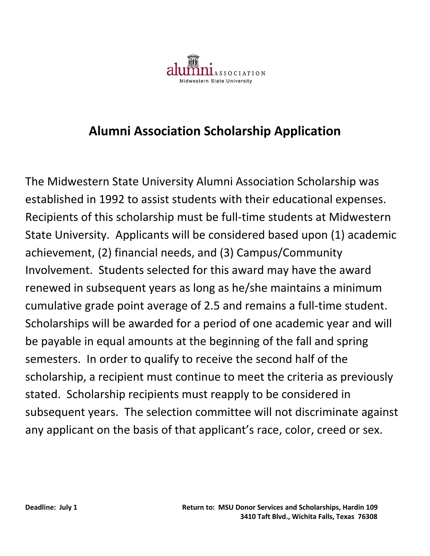

## **Alumni Association Scholarship Application**

The Midwestern State University Alumni Association Scholarship was established in 1992 to assist students with their educational expenses. Recipients of this scholarship must be full-time students at Midwestern State University. Applicants will be considered based upon (1) academic achievement, (2) financial needs, and (3) Campus/Community Involvement. Students selected for this award may have the award renewed in subsequent years as long as he/she maintains a minimum cumulative grade point average of 2.5 and remains a full-time student. Scholarships will be awarded for a period of one academic year and will be payable in equal amounts at the beginning of the fall and spring semesters. In order to qualify to receive the second half of the scholarship, a recipient must continue to meet the criteria as previously stated. Scholarship recipients must reapply to be considered in subsequent years. The selection committee will not discriminate against any applicant on the basis of that applicant's race, color, creed or sex.